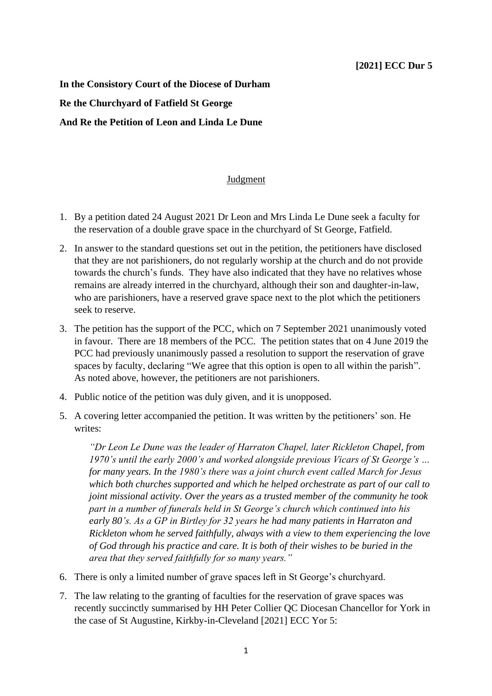**In the Consistory Court of the Diocese of Durham Re the Churchyard of Fatfield St George And Re the Petition of Leon and Linda Le Dune**

## Judgment

- 1. By a petition dated 24 August 2021 Dr Leon and Mrs Linda Le Dune seek a faculty for the reservation of a double grave space in the churchyard of St George, Fatfield.
- 2. In answer to the standard questions set out in the petition, the petitioners have disclosed that they are not parishioners, do not regularly worship at the church and do not provide towards the church's funds. They have also indicated that they have no relatives whose remains are already interred in the churchyard, although their son and daughter-in-law, who are parishioners, have a reserved grave space next to the plot which the petitioners seek to reserve.
- 3. The petition has the support of the PCC, which on 7 September 2021 unanimously voted in favour. There are 18 members of the PCC. The petition states that on 4 June 2019 the PCC had previously unanimously passed a resolution to support the reservation of grave spaces by faculty, declaring "We agree that this option is open to all within the parish". As noted above, however, the petitioners are not parishioners.
- 4. Public notice of the petition was duly given, and it is unopposed.
- 5. A covering letter accompanied the petition. It was written by the petitioners' son. He writes:

*"Dr Leon Le Dune was the leader of Harraton Chapel, later Rickleton Chapel, from 1970's until the early 2000's and worked alongside previous Vicars of St George's … for many years. In the 1980's there was a joint church event called March for Jesus which both churches supported and which he helped orchestrate as part of our call to joint missional activity. Over the years as a trusted member of the community he took part in a number of funerals held in St George's church which continued into his early 80's. As a GP in Birtley for 32 years he had many patients in Harraton and Rickleton whom he served faithfully, always with a view to them experiencing the love of God through his practice and care. It is both of their wishes to be buried in the area that they served faithfully for so many years."*

- 6. There is only a limited number of grave spaces left in St George's churchyard.
- 7. The law relating to the granting of faculties for the reservation of grave spaces was recently succinctly summarised by HH Peter Collier QC Diocesan Chancellor for York in the case of St Augustine, Kirkby-in-Cleveland [2021] ECC Yor 5: